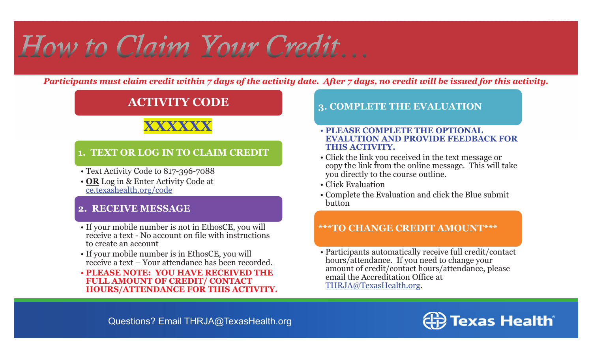# How to Claim Your Credit...

*Participants must claim credit within 7 days of the activity date. After 7 days, no credit will be issued for this activity.*

### **ACTIVITY CODE**

## **XXXXXX**

#### **1. TEXT OR LOG IN TO CLAIM CREDIT**

- Text Activity Code to 817-396-7088
- **OR** Log in & Enter Activity Code at ce.texashealth.org/code

#### **2. RECEIVE MESSAGE**

- If your mobile number is not in EthosCE, you will receive a text - No account on file with instructions to create an account
- If your mobile number is in EthosCE, you will receive a text – Your attendance has been recorded.
- **PLEASE NOTE: YOU HAVE RECEIVED THE FULL AMOUNT OF CREDIT/ CONTACT HOURS/ATTENDANCE FOR THIS ACTIVITY.**

#### **3. COMPLETE THE EVALUATION**

#### • **PLEASE COMPLETE THE OPTIONAL EVALUTION AND PROVIDE FEEDBACK FOR THIS ACTIVITY.**

- Click the link you received in the text message or copy the link from the online message. This will take you directly to the course outline.
- Click Evaluation
- Complete the Evaluation and click the Blue submit button

#### **\*\*\*TO CHANGE CREDIT AMOUNT\*\*\***

• Participants automatically receive full credit/contact hours/attendance. If you need to change your amount of credit/contact hours/attendance, please email the Accreditation Office at THRJA@TexasHealth.org.